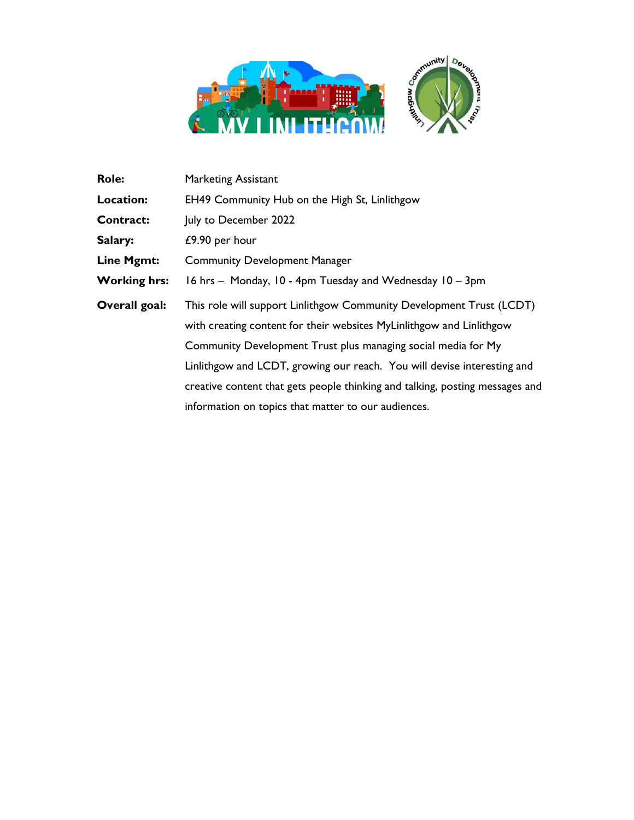

| <b>Marketing Assistant</b>                                                   |
|------------------------------------------------------------------------------|
| EH49 Community Hub on the High St, Linlithgow                                |
| July to December 2022                                                        |
| $£9.90$ per hour                                                             |
| <b>Community Development Manager</b>                                         |
| 16 hrs - Monday, 10 - 4pm Tuesday and Wednesday 10 - 3pm                     |
| This role will support Linlithgow Community Development Trust (LCDT)         |
| with creating content for their websites MyLinlithgow and Linlithgow         |
| Community Development Trust plus managing social media for My                |
| Linlithgow and LCDT, growing our reach. You will devise interesting and      |
| creative content that gets people thinking and talking, posting messages and |
| information on topics that matter to our audiences.                          |
|                                                                              |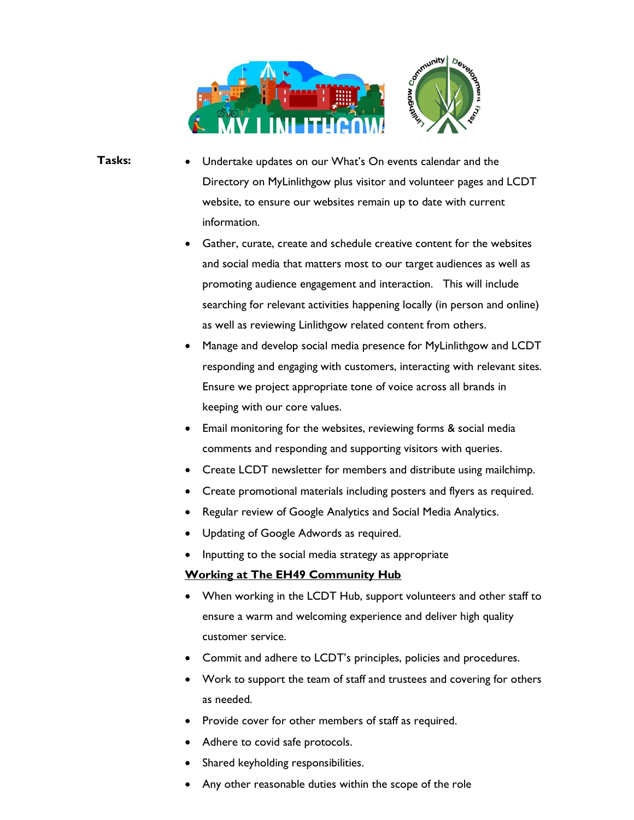

- Tasks: Undertake updates on our What's On events calendar and the Directory on MyLinlithgow plus visitor and volunteer pages and LCDT website, to ensure our websites remain up to date with current information.
	- Gather, curate, create and schedule creative content for the websites and social media that matters most to our target audiences as well as promoting audience engagement and interaction. This will include searching for relevant activities happening locally (in person and online) as well as reviewing Linlithgow related content from others.
	- Manage and develop social media presence for MyLinlithgow and LCDT responding and engaging with customers, interacting with relevant sites. Ensure we project appropriate tone of voice across all brands in keeping with our core values.
	- Email monitoring for the websites, reviewing forms & social media comments and responding and supporting visitors with queries.
	- Create LCDT newsletter for members and distribute using mailchimp.
	- Create promotional materials including posters and flyers as required.
	- Regular review of Google Analytics and Social Media Analytics.
	- Updating of Google Adwords as required.
	- Inputting to the social media strategy as appropriate

## Working at The EH49 Community Hub

- When working in the LCDT Hub, support volunteers and other staff to ensure a warm and welcoming experience and deliver high quality customer service.
- Commit and adhere to LCDT's principles, policies and procedures.
- Work to support the team of staff and trustees and covering for others as needed.
- Provide cover for other members of staff as required.
- Adhere to covid safe protocols.
- Shared keyholding responsibilities.
- Any other reasonable duties within the scope of the role